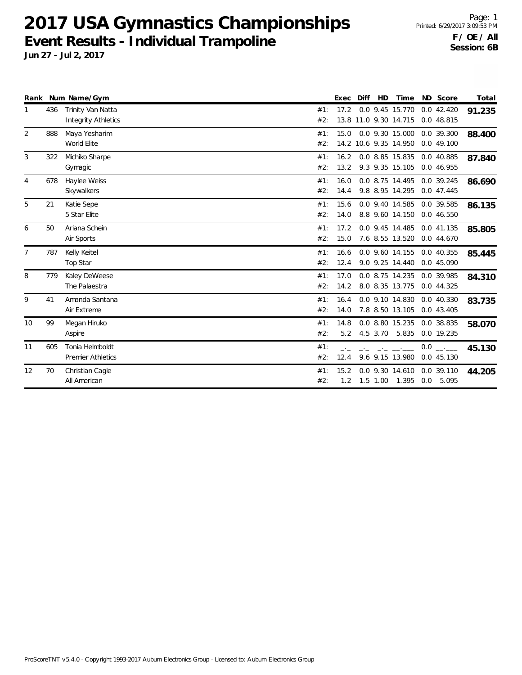**2017 USA Gymnastics Championships Event Results - Individual Trampoline**

|                |     | Rank Num Name/Gym          |     | Exec | Diff | <b>HD</b>  | Time                  |     | ND Score              | Total  |
|----------------|-----|----------------------------|-----|------|------|------------|-----------------------|-----|-----------------------|--------|
| $\mathbf{1}$   | 436 | Trinity Van Natta          | #1: | 17.2 |      |            | 0.0 9.45 15.770       |     | 0.042.420             | 91.235 |
|                |     | <b>Integrity Athletics</b> | #2: |      |      |            | 13.8 11.0 9.30 14.715 |     | 0.0 48.815            |        |
| 2              | 888 | Maya Yesharim              | #1: | 15.0 |      |            | 0.0 9.30 15.000       |     | 0.0 39.300            | 88.400 |
|                |     | World Elite                | #2: |      |      |            | 14.2 10.6 9.35 14.950 |     | 0.0 49.100            |        |
| 3              | 322 | Michiko Sharpe             | #1: | 16.2 |      |            | 0.0 8.85 15.835       |     | 0.0 40.885            | 87.840 |
|                |     | Gymagic                    | #2: | 13.2 |      |            | 9.3 9.35 15.105       |     | 0.0 46.955            |        |
| 4              | 678 | Haylee Weiss               | #1: | 16.0 |      |            | 0.0 8.75 14.495       |     | 0.0 39.245            | 86.690 |
|                |     | Skywalkers                 | #2: | 14.4 |      |            | 9.8 8.95 14.295       |     | 0.0 47.445            |        |
| 5              | 21  | Katie Sepe                 | #1: | 15.6 |      |            | 0.0 9.40 14.585       |     | 0.0 39.585            | 86.135 |
|                |     | 5 Star Elite               | #2: | 14.0 |      |            | 8.8 9.60 14.150       |     | 0.0 46.550            |        |
| 6              | 50  | Ariana Schein              | #1: | 17.2 |      |            | 0.0 9.45 14.485       |     | 0.0 41.135            | 85.805 |
|                |     | Air Sports                 | #2: | 15.0 |      |            | 7.6 8.55 13.520       |     | 0.0 44.670            |        |
| $\overline{7}$ | 787 | Kelly Keitel               | #1: | 16.6 |      |            | 0.0 9.60 14.155       |     | $0.0$ 40.355          | 85.445 |
|                |     | Top Star                   | #2: | 12.4 |      |            | 9.0 9.25 14.440       |     | 0.0 45.090            |        |
| 8              | 779 | Kaley DeWeese              | #1: | 17.0 |      |            | 0.0 8.75 14.235       |     | 0.0 39.985            | 84.310 |
|                |     | The Palaestra              | #2: | 14.2 |      |            | 8.0 8.35 13.775       |     | 0.0 44.325            |        |
| 9              | 41  | Amanda Santana             | #1: | 16.4 |      |            | 0.0 9.10 14.830       |     | 0.0 40.330            | 83.735 |
|                |     | Air Extreme                | #2: | 14.0 |      |            | 7.8 8.50 13.105       |     | 0.043.405             |        |
| 10             | 99  | Megan Hiruko               | #1: | 14.8 |      |            | 0.0 8.80 15.235       |     | 0.0 38.835            | 58.070 |
|                |     | Aspire                     | #2: | 5.2  |      | 4.5 3.70   | 5.835                 |     | 0.0 19.235            |        |
| 11             | 605 | Tonia Helmboldt            | #1: |      |      |            |                       | 0.0 | <u>and the common</u> | 45.130 |
|                |     | <b>Premier Athletics</b>   | #2: | 12.4 |      |            | 9.6 9.15 13.980       |     | 0.0 45.130            |        |
| 12             | 70  | Christian Cagle            | #1: | 15.2 |      |            | 0.0 9.30 14.610       |     | 0.0 39.110            | 44.205 |
|                |     | All American               | #2: | 1.2  |      | $1.5$ 1.00 | 1.395                 |     | 0.0 5.095             |        |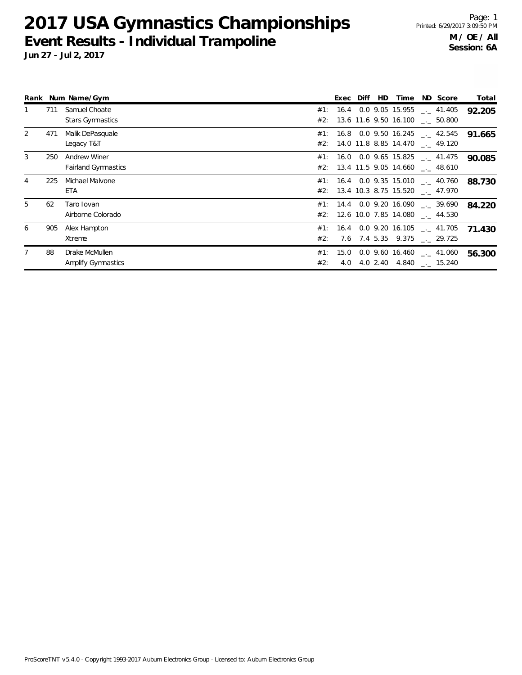# **2017 USA Gymnastics Championships Event Results - Individual Trampoline**

|    |     | Rank Num Name/Gym                                 |     | Exec Diff | HD | Time | ND Score                                                                          | Total  |
|----|-----|---------------------------------------------------|-----|-----------|----|------|-----------------------------------------------------------------------------------|--------|
|    | 711 | Samuel Choate<br><b>Stars Gymnastics</b>          |     |           |    |      | #1: 16.4 0.0 9.05 15.955 $\_\_$ 41.405<br>#2: 13.6 11.6 9.50 16.100 ___ 50.800    | 92.205 |
| 2  | 471 | Malik DePasquale<br>Legacy T&T                    |     |           |    |      | $#1: 16.8 0.0 9.50 16.245$ $\ldots$ 42.545<br>#2: 14.0 11.8 8.85 14.470 __ 49.120 | 91.665 |
| 3  | 250 | <b>Andrew Winer</b><br><b>Fairland Gymnastics</b> |     |           |    |      | $\#1$ : 16.0 0.0 9.65 15.825 __ 41.475<br>#2: 13.4 11.5 9.05 14.660 $\_\_$ 48.610 | 90.085 |
| 4  | 225 | Michael Malvone<br>ETA                            |     |           |    |      | $#1:$ 16.4 0.0 9.35 15.010 __ 40.760<br>#2: 13.4 10.3 8.75 15.520 . 47.970        | 88.730 |
| 5. | 62  | Taro Iovan<br>Airborne Colorado                   |     |           |    |      | #1: 14.4 0.0 9.20 16.090 $\ldots$ 39.690<br>#2: 12.6 10.0 7.85 14.080 . 44.530    | 84.220 |
| 6  | 905 | Alex Hampton<br>Xtreme                            | #2: |           |    |      | #1: 16.4 0.0 9.20 16.105 $\ldots$ 41.705<br>7.6 7.4 5.35 9.375 . 29.725           | 71.430 |
|    | 88  | Drake McMullen<br><b>Amplify Gymnastics</b>       | #2: | 4.0       |    |      | #1: 15.0 0.0 9.60 16.460 $\ldots$ 41.060<br>4.0 2.40 4.840 $\ldots$ 15.240        | 56.300 |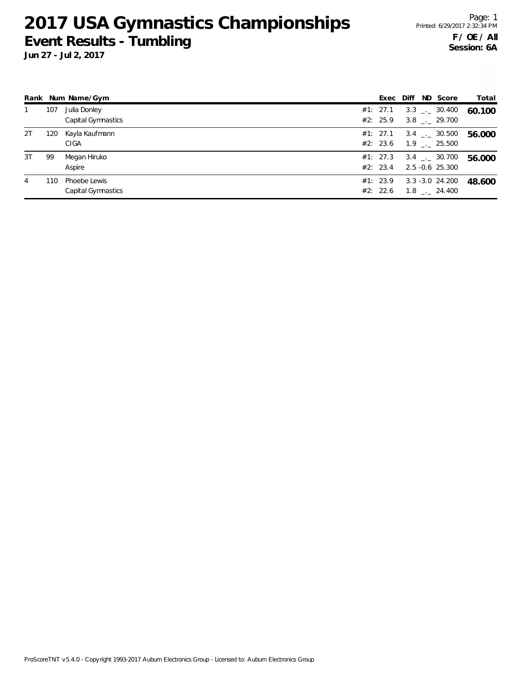### **2017 USA Gymnastics Championships Event Results - Tumbling**

**Jun 27 - Jul 2, 2017**

|    |     | Rank Num Name/Gym                  | Exec                 | Diff | ND Score                                        | Total  |
|----|-----|------------------------------------|----------------------|------|-------------------------------------------------|--------|
|    | 107 | Julia Donley<br>Capital Gymnastics | #1: 27.1<br>#2: 25.9 |      | $3.3$ $_{\sim}$ 30.400<br>3.8 . 29.700          | 60.100 |
| 2T | 120 | Kayla Kaufmann<br>CIGA             | #1: 27.1<br>#2: 23.6 |      | $3.4$ $_{--}$ 30.500<br>$1.9$ $_{-1}$ 25.500    | 56.000 |
| 3T | 99  | Megan Hiruko<br>Aspire             | #1: 27.3<br>#2: 23.4 |      | $3.4$ $_{\leftarrow}$ 30.700<br>2.5 -0.6 25.300 | 56.000 |
| 4  | 110 | Phoebe Lewis<br>Capital Gymnastics | #1: 23.9<br>#2: 22.6 |      | 3.3 -3.0 24.200<br>$1.8$ $_{\sim}$ 24.400       | 48.600 |

ProScoreTNT v5.4.0 - Copyright 1993-2017 Auburn Electronics Group - Licensed to: Auburn Electronics Group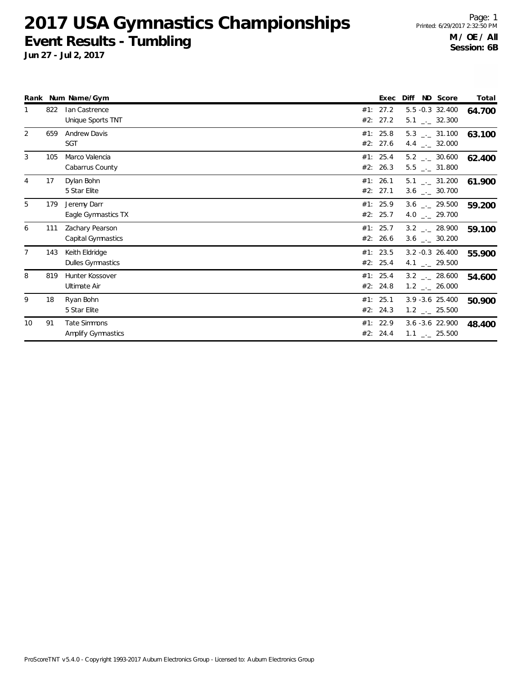#### **2017 USA Gymnastics Championships Event Results - Tumbling**

|                |     | Rank Num Name/Gym                     |     | Exec                 | Diff ND Score                                                | Total  |
|----------------|-----|---------------------------------------|-----|----------------------|--------------------------------------------------------------|--------|
|                | 822 | Ian Castrence<br>Unique Sports TNT    |     | #1: 27.2<br>#2: 27.2 | 5.5 -0.3 32.400<br>$5.1$ $_{\leftarrow}$ 32.300              | 64.700 |
| 2              | 659 | <b>Andrew Davis</b><br><b>SGT</b>     |     | #1: 25.8<br>#2: 27.6 | $5.3$ $_{\leftarrow}$ 31.100<br>4.4 $\qquad$ 32.000          | 63.100 |
| 3              | 105 | Marco Valencia<br>Cabarrus County     |     | #1: 25.4<br>#2: 26.3 | $5.2$ $_{\leftarrow}$ 30.600<br>$5.5$ $_{-}$ 31.800          | 62.400 |
| $\overline{4}$ | 17  | Dylan Bohn<br>5 Star Elite            |     | #1: 26.1<br>#2: 27.1 | $5.1$ $_{\sim}$ 31.200<br>$3.6$ $_{\leftarrow}$ 30.700       | 61.900 |
| 5              | 179 | Jeremy Darr<br>Eagle Gymnastics TX    |     | #1: 25.9<br>#2: 25.7 | $3.6$ $_{\leftarrow}$ 29.500<br>4.0 $_{\leftarrow}$ 29.700   | 59.200 |
| 6              | 111 | Zachary Pearson<br>Capital Gymnastics |     | #1: 25.7<br>#2: 26.6 | $3.2$ $_{\leftarrow}$ 28.900<br>$3.6$ $_{\leftarrow}$ 30.200 | 59.100 |
| $\overline{7}$ | 143 | Keith Eldridge<br>Dulles Gymnastics   |     | #1: 23.5<br>#2: 25.4 | $3.2 - 0.3$ 26.400<br>4.1 $\frac{1}{2}$ 29.500               | 55.900 |
| 8              | 819 | Hunter Kossover<br>Ultimate Air       |     | #1: 25.4<br>#2: 24.8 | $3.2$ $_{\leftarrow}$ 28.600<br>$1.2$ $_{\leftarrow}$ 26.000 | 54.600 |
| 9              | 18  | Ryan Bohn<br>5 Star Elite             |     | #1: 25.1<br>#2: 24.3 | 3.9 - 3.6 25.400<br>$1.2$ $_{\leftarrow}$ 25.500             | 50.900 |
| 10             | 91  | Tate Simmons<br>Amplify Gymnastics    | #2: | #1: 22.9<br>24.4     | $3.6 - 3.6$ 22.900<br>$1.1$ $_{\leftarrow}$ 25.500           | 48.400 |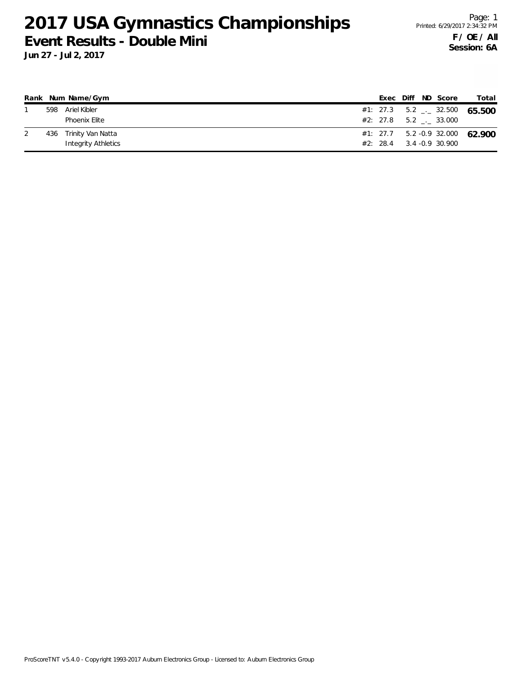### **2017 USA Gymnastics Championships Event Results - Double Mini**

|     | Rank Num Name/Gym   |  |  | Exec Diff ND Score          | Total                                      |
|-----|---------------------|--|--|-----------------------------|--------------------------------------------|
| 598 | Ariel Kibler        |  |  |                             | #1: 27.3 $5.2$ $\rightarrow$ 32.500 65.500 |
|     | Phoenix Elite       |  |  | #2: 27.8 5.2 . 33.000       |                                            |
| 436 | Trinity Van Natta   |  |  |                             | $#1: 27.7$ 5.2 -0.9 32.000 62.900          |
|     | Integrity Athletics |  |  | $#2: 28.4$ 3.4 - 0.9 30.900 |                                            |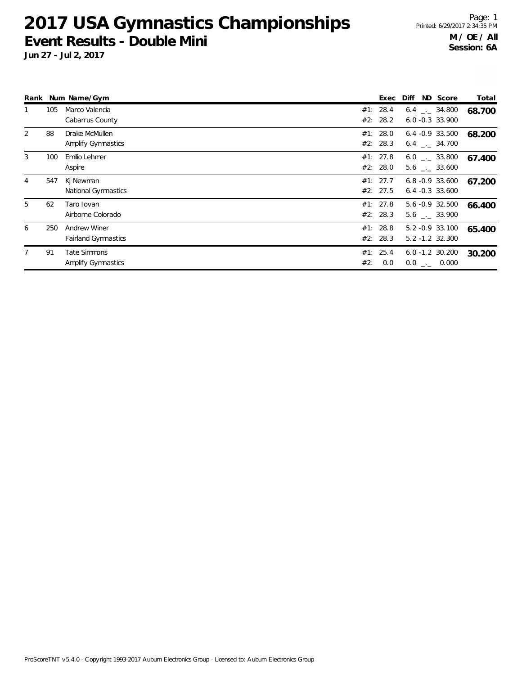#### **2017 USA Gymnastics Championships Event Results - Double Mini**

| Rank |     | Num Name/Gym                               |                         | Exec<br>Diff |                                              | ND Score | Total  |
|------|-----|--------------------------------------------|-------------------------|--------------|----------------------------------------------|----------|--------|
|      | 105 | Marco Valencia<br>Cabarrus County          | 28.4<br>#1:<br>#2: 28.2 |              | $6.4$ $-2.34.800$<br>$6.0 - 0.3$ 33.900      |          | 68.700 |
| 2    | 88  | Drake McMullen<br>Amplify Gymnastics       | #1: 28.0<br>#2: 28.3    |              | $6.4 -0.9$ 33.500<br>$6.4$ $-.$ 34.700       |          | 68.200 |
| 3    | 100 | Emilio Lehmer<br>Aspire                    | #1: 27.8<br>#2: 28.0    |              | $6.0$ $_{-1}$ 33.800<br>$5.6$ $_{-1}$ 33.600 |          | 67.400 |
| 4    | 547 | Kj Newman<br>National Gymnastics           | #1: 27.7<br>#2: 27.5    |              | $6.8 - 0.9$ 33.600<br>$6.4 - 0.3$ 33.600     |          | 67.200 |
| 5    | 62  | Taro Iovan<br>Airborne Colorado            | #1: 27.8<br>#2: 28.3    |              | 5.6 -0.9 32.500<br>$5.6$ $-.$ 33.900         |          | 66.400 |
| 6    | 250 | Andrew Winer<br><b>Fairland Gymnastics</b> | #1: 28.8<br>#2: 28.3    |              | 5.2 -0.9 33.100<br>5.2 -1.2 32.300           |          | 65.400 |
|      | 91  | Tate Simmons<br>Amplify Gymnastics         | #1: 25.4<br>#2:         | 0.0          | $6.0 - 1.2$ 30.200<br>$0.0$ _._ 0.000        |          | 30.200 |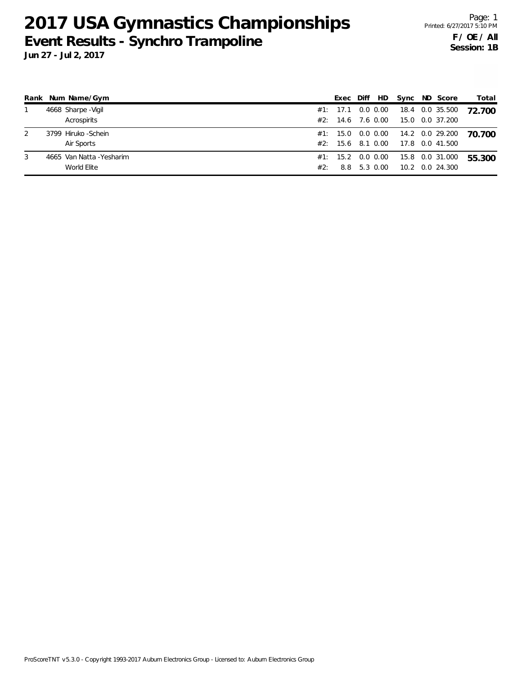# **2017 USA Gymnastics Championships Event Results - Synchro Trampoline**

|   | Rank Num Name/Gym         |     | Exec              |          | Diff HD Sync ND Score |                                   | Total  |
|---|---------------------------|-----|-------------------|----------|-----------------------|-----------------------------------|--------|
|   | 4668 Sharpe - Vigil       |     | #1: 17.1 0.0 0.00 |          |                       | 18.4 0.0 35.500                   | 72.700 |
|   | Acrospirits               |     | #2: 14.6 7.6 0.00 |          |                       | 15.0 0.0 37.200                   |        |
|   | 3799 Hiruko - Schein      |     |                   |          |                       | #1: 15.0 0.0 0.00 14.2 0.0 29.200 | 70.700 |
|   | Air Sports                |     | #2: 15.6 8.1 0.00 |          |                       | 17.8  0.0  41.500                 |        |
| 3 | 4665 Van Natta - Yesharim |     | #1: 15.2 0.0 0.00 |          |                       | 15.8 0.0 31.000                   | 55.300 |
|   | World Elite               | #2: | 8.8               | 5.3 0.00 |                       | 10.2 0.0 24.300                   |        |